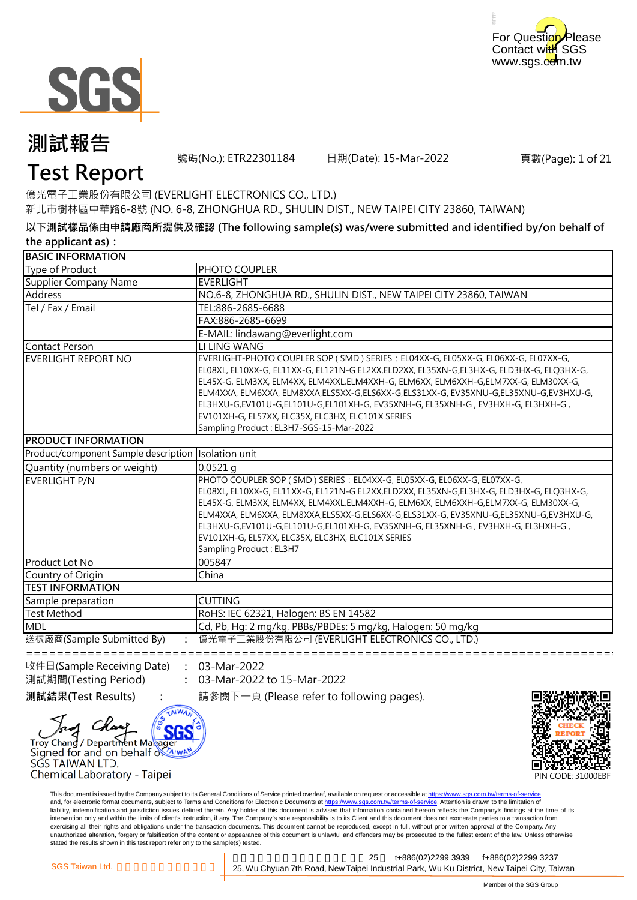



號碼(No.): ETR22301184 日期(Date): 15-Mar-2022

頁數(Page): 1 of 21

### **Test Report**

億光電子工業股份有限公司 (EVERLIGHT ELECTRONICS CO., LTD.) 新北市樹林區中華路6-8號 (NO. 6-8, ZHONGHUA RD., SHULIN DIST., NEW TAIPEI CITY 23860, TAIWAN)

**以下測試樣品係由申請廠商所提供及確認 (The following sample(s) was/were submitted and identified by/on behalf of the applicant as):**

| <b>BASIC INFORMATION</b>             |                                                                                                                                                                                                                                                                                                                                                                                                                                                                                                                                                |
|--------------------------------------|------------------------------------------------------------------------------------------------------------------------------------------------------------------------------------------------------------------------------------------------------------------------------------------------------------------------------------------------------------------------------------------------------------------------------------------------------------------------------------------------------------------------------------------------|
| Type of Product                      | PHOTO COUPLER                                                                                                                                                                                                                                                                                                                                                                                                                                                                                                                                  |
| Supplier Company Name                | <b>EVERLIGHT</b>                                                                                                                                                                                                                                                                                                                                                                                                                                                                                                                               |
| Address                              | NO.6-8, ZHONGHUA RD., SHULIN DIST., NEW TAIPEI CITY 23860, TAIWAN                                                                                                                                                                                                                                                                                                                                                                                                                                                                              |
| Tel / Fax / Email                    | TEL:886-2685-6688                                                                                                                                                                                                                                                                                                                                                                                                                                                                                                                              |
|                                      | FAX:886-2685-6699                                                                                                                                                                                                                                                                                                                                                                                                                                                                                                                              |
|                                      | E-MAIL: lindawang@everlight.com                                                                                                                                                                                                                                                                                                                                                                                                                                                                                                                |
| <b>Contact Person</b>                | LI LING WANG                                                                                                                                                                                                                                                                                                                                                                                                                                                                                                                                   |
| EVERLIGHT REPORT NO                  | EVERLIGHT-PHOTO COUPLER SOP (SMD) SERIES: EL04XX-G, EL05XX-G, EL06XX-G, EL07XX-G,<br>EL08XL, EL10XX-G, EL11XX-G, EL121N-G EL2XX,ELD2XX, EL35XN-G,EL3HX-G, ELD3HX-G, ELQ3HX-G,<br>EL45X-G, ELM3XX, ELM4XX, ELM4XXL,ELM4XXH-G, ELM6XX, ELM6XXH-G,ELM7XX-G, ELM30XX-G,<br>ELM4XXA, ELM6XXA, ELM8XXA,ELS5XX-G,ELS6XX-G,ELS31XX-G, EV35XNU-G,EL35XNU-G,EV3HXU-G,<br>EL3HXU-G,EV101U-G,EL101U-G,EL101XH-G, EV35XNH-G, EL35XNH-G, EV3HXH-G, EL3HXH-G,<br>EV101XH-G, EL57XX, ELC35X, ELC3HX, ELC101X SERIES<br>Sampling Product: EL3H7-SGS-15-Mar-2022 |
| <b>PRODUCT INFORMATION</b>           |                                                                                                                                                                                                                                                                                                                                                                                                                                                                                                                                                |
| Product/component Sample description | Isolation unit                                                                                                                                                                                                                                                                                                                                                                                                                                                                                                                                 |
| Quantity (numbers or weight)         | $0.0521$ q                                                                                                                                                                                                                                                                                                                                                                                                                                                                                                                                     |
| EVERLIGHT P/N                        | PHOTO COUPLER SOP (SMD) SERIES: EL04XX-G, EL05XX-G, EL06XX-G, EL07XX-G,<br>EL08XL, EL10XX-G, EL11XX-G, EL121N-G EL2XX,ELD2XX, EL35XN-G,EL3HX-G, ELD3HX-G, ELQ3HX-G,<br>EL45X-G, ELM3XX, ELM4XX, ELM4XXL, ELM4XXH-G, ELM6XX, ELM6XXH-G, ELM7XX-G, ELM30XX-G,<br>ELM4XXA, ELM6XXA, ELM8XXA,ELS5XX-G,ELS6XX-G,ELS31XX-G, EV35XNU-G,EL35XNU-G,EV3HXU-G,<br>EL3HXU-G,EV101U-G,EL101U-G,EL101XH-G, EV35XNH-G, EL35XNH-G, EV3HXH-G, EL3HXH-G,<br>EV101XH-G, EL57XX, ELC35X, ELC3HX, ELC101X SERIES<br>Sampling Product: EL3H7                         |
| Product Lot No                       | 005847                                                                                                                                                                                                                                                                                                                                                                                                                                                                                                                                         |
| Country of Origin                    | China                                                                                                                                                                                                                                                                                                                                                                                                                                                                                                                                          |
| <b>TEST INFORMATION</b>              |                                                                                                                                                                                                                                                                                                                                                                                                                                                                                                                                                |
| Sample preparation                   | <b>CUTTING</b>                                                                                                                                                                                                                                                                                                                                                                                                                                                                                                                                 |
| <b>Test Method</b>                   | RoHS: IEC 62321, Halogen: BS EN 14582                                                                                                                                                                                                                                                                                                                                                                                                                                                                                                          |
| <b>MDL</b>                           | Cd, Pb, Hg: 2 mg/kg, PBBs/PBDEs: 5 mg/kg, Halogen: 50 mg/kg                                                                                                                                                                                                                                                                                                                                                                                                                                                                                    |
| 送樣廠商(Sample Submitted By)            | 億光電子工業股份有限公司 (EVERLIGHT ELECTRONICS CO., LTD.)                                                                                                                                                                                                                                                                                                                                                                                                                                                                                                 |
| 收件日(Sample Receiving Date)           | 03-Mar-2022                                                                                                                                                                                                                                                                                                                                                                                                                                                                                                                                    |
| 測試期間(Testing Period)                 | 03-Mar-2022 to 15-Mar-2022                                                                                                                                                                                                                                                                                                                                                                                                                                                                                                                     |

**測試結果(Test Results) :** 請參閱下一頁 (Please refer to following pages).

SG Troy Chang / Department Marager





This document is issued by the Company subject to its General Conditions of Service printed overleaf, available on request or accessible at https://www.sgs.com.tw/terms-of-service and, for electronic format documents, subject to Terms and Conditions for Electronic Documents at https://www.sgs.com.tw/terms-of-service. Attention is drawn to the limitation of liability, indemnification and jurisdiction issues defined therein. Any holder of this document is advised that information contained hereon reflects the Company's findings at the time of its intervention only and within the limits of client's instruction, if any. The Company's sole responsibility is to its Client and this document does not exonerate parties to a transaction from exercising all their rights and obligations under the transaction documents. This document cannot be reproduced, except in full, without prior written approval of the Company. Any<br>unauthorized alteration, forgery or falsif stated the results shown in this test report refer only to the sample(s) tested.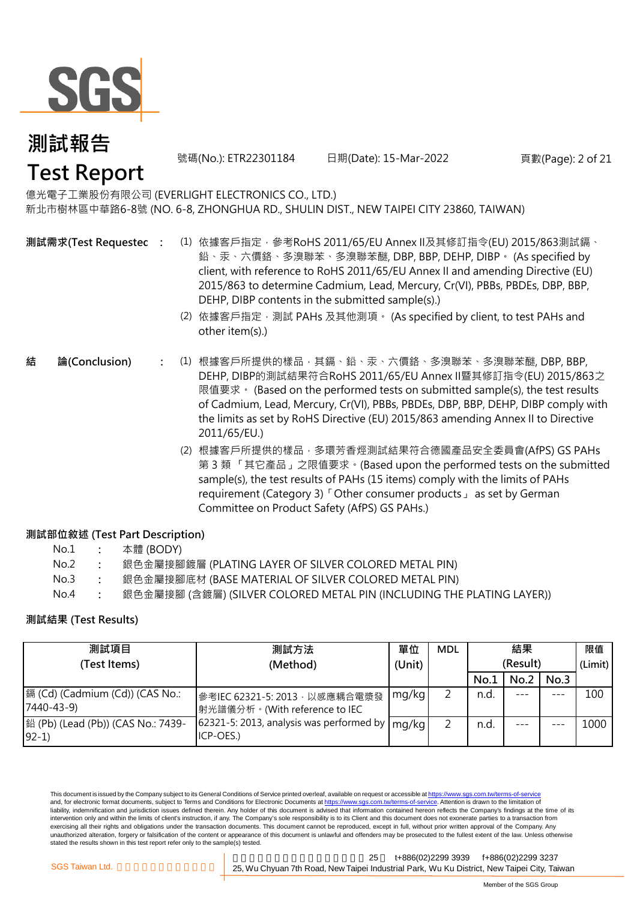

號碼(No.): ETR22301184 日期(Date): 15-Mar-2022 頁數(Page): 2 of 21

億光電子工業股份有限公司 (EVERLIGHT ELECTRONICS CO., LTD.) 新北市樹林區中華路6-8號 (NO. 6-8, ZHONGHUA RD., SHULIN DIST., NEW TAIPEI CITY 23860, TAIWAN)

**測試需求(Test Requested)**

- **:** (1) 依據客戶指定,參考RoHS 2011/65/EU Annex II及其修訂指令(EU) 2015/863測試鎘、 鉛、汞、六價鉻、多溴聯苯、多溴聯苯醚, DBP, BBP, DEHP, DIBP。 (As specified by client, with reference to RoHS 2011/65/EU Annex II and amending Directive (EU) 2015/863 to determine Cadmium, Lead, Mercury, Cr(VI), PBBs, PBDEs, DBP, BBP, DEHP, DIBP contents in the submitted sample(s).)
	- (2) 依據客戶指定,測試 PAHs 及其他測項。 (As specified by client, to test PAHs and other item(s).)
- **:** (1) 根據客戶所提供的樣品,其鎘、鉛、汞、六價鉻、多溴聯苯、多溴聯苯醚, DBP, BBP, **結 論(Conclusion)** DEHP, DIBP的測試結果符合RoHS 2011/65/EU Annex II暨其修訂指令(EU) 2015/863之 限值要求。 (Based on the performed tests on submitted sample(s), the test results of Cadmium, Lead, Mercury, Cr(VI), PBBs, PBDEs, DBP, BBP, DEHP, DIBP comply with the limits as set by RoHS Directive (EU) 2015/863 amending Annex II to Directive 2011/65/EU.)
	- (2) 根據客戶所提供的樣品,多環芳香烴測試結果符合德國產品安全委員會(AfPS) GS PAHs 第 3 類 「其它產品」之限值要求。(Based upon the performed tests on the submitted sample(s), the test results of PAHs (15 items) comply with the limits of PAHs requirement (Category 3) 「Other consumer products」 as set by German Committee on Product Safety (AfPS) GS PAHs.)

### **測試部位敘述 (Test Part Description)**

| No.1 |  | 本體 (BODY) |
|------|--|-----------|
|------|--|-----------|

| No.2 |  |  | 銀色金屬接腳鍍層 (PLATING LAYER OF SILVER COLORED METAL PIN) |  |
|------|--|--|------------------------------------------------------|--|
|------|--|--|------------------------------------------------------|--|

- No.3 **:** 銀色金屬接腳底材 (BASE MATERIAL OF SILVER COLORED METAL PIN)
- No.4 **:** 銀色金屬接腳 (含鍍層) (SILVER COLORED METAL PIN (INCLUDING THE PLATING LAYER))

### **測試結果 (Test Results)**

| 測試項目                                           | 測試方法                                                                           | 單位     | <b>MDL</b> |      | 結果       |      | 限值      |
|------------------------------------------------|--------------------------------------------------------------------------------|--------|------------|------|----------|------|---------|
| (Test Items)                                   | (Method)                                                                       | (Unit) |            |      | (Result) |      | (Limit) |
|                                                |                                                                                |        |            | No.1 | No.2     | No.3 |         |
| 鎘 (Cd) (Cadmium (Cd)) (CAS No.:<br>7440-43-9)  | 參考IEC 62321-5: 2013, 以感應耦合電漿發<br> 射光譜儀分析。(With reference to IEC                | mg/kg  |            | n.d. |          | ---  | 100     |
| [鉛 (Pb) (Lead (Pb)) (CAS No.: 7439-<br>$92-1)$ | $\sqrt{62321}$ -5: 2013, analysis was performed by $\sqrt{mg/kg}$<br>ICP-OES.) |        |            | n.d. |          |      | 1000    |

This document is issued by the Company subject to its General Conditions of Service printed overleaf, available on request or accessible at https://www.sgs.com.tw/terms-of-service and, for electronic format documents, subject to Terms and Conditions for Electronic Documents at https://www.sgs.com.tw/terms-of-service. Attention is drawn to the limitation of liability, indemnification and jurisdiction issues defined therein. Any holder of this document is advised that information contained hereon reflects the Company's findings at the time of its intervention only and within the limits of client's instruction, if any. The Company's sole responsibility is to its Client and this document does not exonerate parties to a transaction from exercising all their rights and obligations under the transaction documents. This document cannot be reproduced, except in full, without prior written approval of the Company. Any unauthorized alteration, forgery or falsification of the content or appearance of this document is unlawful and offenders may be prosecuted to the fullest extent of the law. Unless otherwise stated the results shown in this test report refer only to the sample(s) tested.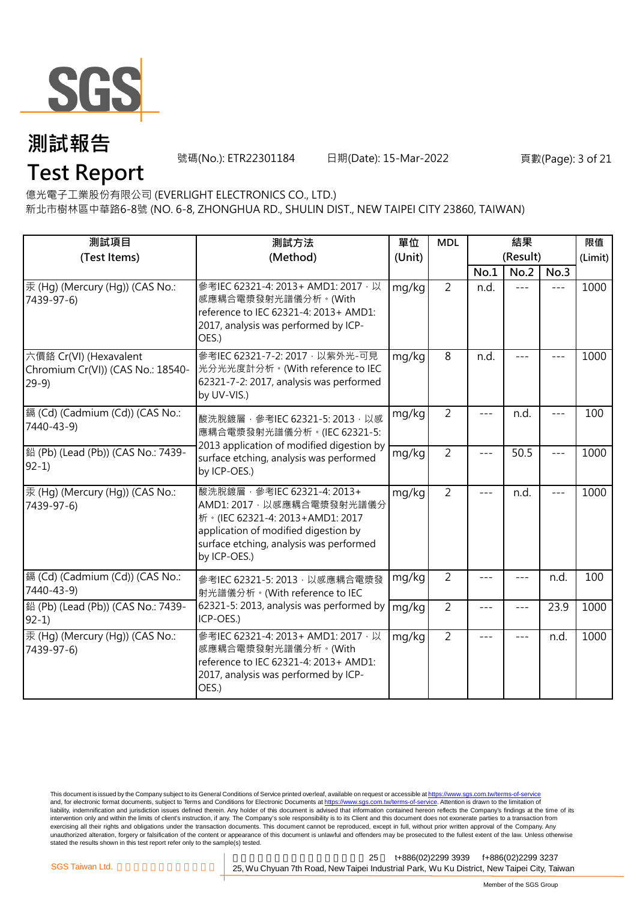

號碼(No.): ETR22301184 日期(Date): 15-Mar-2022 頁數(Page): 3 of 21

### **Test Report**

億光電子工業股份有限公司 (EVERLIGHT ELECTRONICS CO., LTD.)

新北市樹林區中華路6-8號 (NO. 6-8, ZHONGHUA RD., SHULIN DIST., NEW TAIPEI CITY 23860, TAIWAN)

| 測試項目<br>(Test Items)                                                  | 測試方法<br>(Method)                                                                                                                                                                                  | 單位<br>(Unit) | <b>MDL</b>     |       | 結果<br>(Result) |       | 限值<br>(Limit) |
|-----------------------------------------------------------------------|---------------------------------------------------------------------------------------------------------------------------------------------------------------------------------------------------|--------------|----------------|-------|----------------|-------|---------------|
|                                                                       |                                                                                                                                                                                                   |              |                | No.1  | No.2           | No.3  |               |
| 汞 (Hg) (Mercury (Hg)) (CAS No.:<br>7439-97-6)                         | 參考IEC 62321-4: 2013+ AMD1: 2017 · 以<br>感應耦合電漿發射光譜儀分析。(With<br>reference to IEC 62321-4: 2013+ AMD1:<br>2017, analysis was performed by ICP-<br>OES.)                                              | mg/kg        | $\overline{2}$ | n.d.  | $---$          | $---$ | 1000          |
| 六價鉻 Cr(VI) (Hexavalent<br>Chromium Cr(VI)) (CAS No.: 18540-<br>$29-9$ | 參考IEC 62321-7-2: 2017 · 以紫外光-可見<br>光分光光度計分析。(With reference to IEC<br>62321-7-2: 2017, analysis was performed<br>by UV-VIS.)                                                                      | mg/kg        | 8              | n.d.  |                |       | 1000          |
| 鎘 (Cd) (Cadmium (Cd)) (CAS No.:<br>7440-43-9)                         | 酸洗脫鍍層, 參考IEC 62321-5: 2013, 以感<br>應耦合電漿發射光譜儀分析。(IEC 62321-5:<br>2013 application of modified digestion by                                                                                         | mg/kg        | $\overline{2}$ |       | n.d.           | $---$ | 100           |
| 鉛 (Pb) (Lead (Pb)) (CAS No.: 7439-<br>$92-1)$                         | surface etching, analysis was performed<br>by ICP-OES.)                                                                                                                                           | mg/kg        | $\overline{2}$ | ---   | 50.5           | $---$ | 1000          |
| 汞 (Hg) (Mercury (Hg)) (CAS No.:<br>7439-97-6)                         | 酸洗脫鍍層, 參考IEC 62321-4: 2013+<br>AMD1: 2017 · 以感應耦合電漿發射光譜儀分<br>析 · (IEC 62321-4: 2013+AMD1: 2017<br>application of modified digestion by<br>surface etching, analysis was performed<br>by ICP-OES.) | mg/kg        | $\overline{2}$ | ---   | n.d.           | $---$ | 1000          |
| 鎘 (Cd) (Cadmium (Cd)) (CAS No.:<br>7440-43-9)                         | 參考IEC 62321-5: 2013, 以感應耦合電漿發<br>射光譜儀分析。(With reference to IEC                                                                                                                                    | mg/kg        | $\overline{2}$ |       |                | n.d.  | 100           |
| 鉛 (Pb) (Lead (Pb)) (CAS No.: 7439-<br>$92-1)$                         | 62321-5: 2013, analysis was performed by<br>ICP-OES.)                                                                                                                                             | mg/kg        | $\overline{2}$ |       |                | 23.9  | 1000          |
| 汞 (Hq) (Mercury (Hq)) (CAS No.:<br>7439-97-6)                         | 參考IEC 62321-4: 2013+ AMD1: 2017 · 以<br>感應耦合電漿發射光譜儀分析。(With<br>reference to IEC 62321-4: 2013+ AMD1:<br>2017, analysis was performed by ICP-<br>OES.)                                              | mg/kg        | $\overline{2}$ | $---$ | $---$          | n.d.  | 1000          |

This document is issued by the Company subject to its General Conditions of Service printed overleaf, available on request or accessible at <u>https://www.sgs.com.tw/terms-of-service</u><br>and, for electronic format documents, su liability, indemnification and jurisdiction issues defined therein. Any holder of this document is advised that information contained hereon reflects the Company's findings at the time of its intervention only and within the limits of client's instruction, if any. The Company's sole responsibility is to its Client and this document does not exonerate parties to a transaction from exercising all their rights and obligations under the transaction documents. This document cannot be reproduced, except in full, without prior written approval of the Company. Any<br>unauthorized alteration, forgery or falsif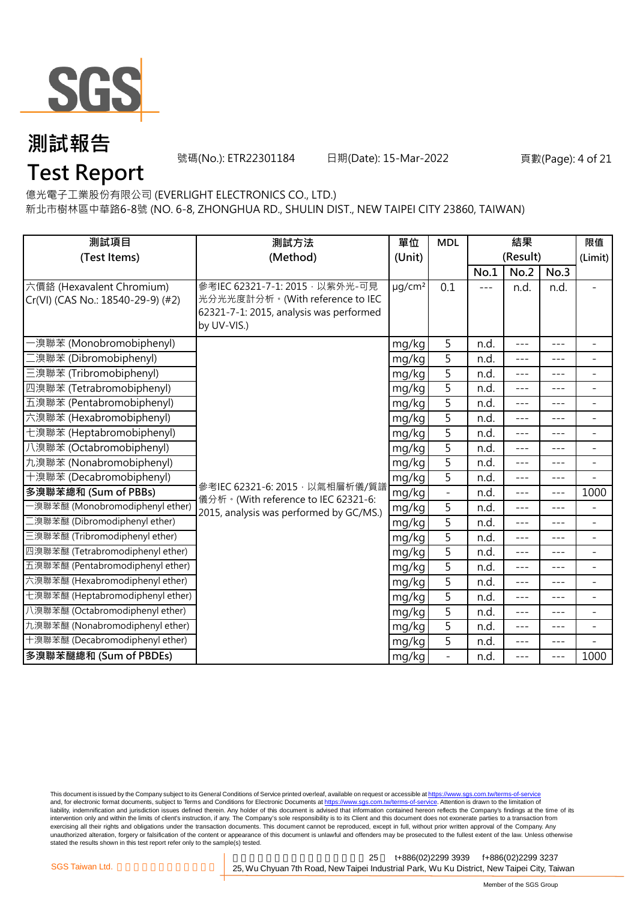

號碼(No.): ETR22301184 日期(Date): 15-Mar-2022 頁數(Page): 4 of 21

### **Test Report**

億光電子工業股份有限公司 (EVERLIGHT ELECTRONICS CO., LTD.)

新北市樹林區中華路6-8號 (NO. 6-8, ZHONGHUA RD., SHULIN DIST., NEW TAIPEI CITY 23860, TAIWAN)

| 測試項目                                                           | 測試方法                                                                                                                        |                         | <b>MDL</b>               |      | 結果               |         | 限值                       |
|----------------------------------------------------------------|-----------------------------------------------------------------------------------------------------------------------------|-------------------------|--------------------------|------|------------------|---------|--------------------------|
| (Test Items)                                                   | (Method)                                                                                                                    | (Unit)                  |                          | No.1 | (Result)<br>No.2 | No.3    | (Limit)                  |
| 六價鉻 (Hexavalent Chromium)<br>Cr(VI) (CAS No.: 18540-29-9) (#2) | 參考IEC 62321-7-1: 2015, 以紫外光-可見<br>光分光光度計分析。(With reference to IEC<br>62321-7-1: 2015, analysis was performed<br>by UV-VIS.) | $\mu$ g/cm <sup>2</sup> | 0.1                      | ---  | n.d.             | n.d.    |                          |
| ·溴聯苯 (Monobromobiphenyl)                                       |                                                                                                                             | mg/kg                   | 5                        | n.d. | ---              | $---$   | $\equiv$                 |
| [溴聯苯 (Dibromobiphenyl)                                         |                                                                                                                             | mg/kg                   | 5                        | n.d. | $---$            | $---$   | $\overline{\phantom{a}}$ |
| 三溴聯苯 (Tribromobiphenyl)                                        |                                                                                                                             | mg/kg                   | 5                        | n.d. | ---              | $---$   | $\blacksquare$           |
| 四溴聯苯 (Tetrabromobiphenyl)                                      |                                                                                                                             | mg/kg                   | 5                        | n.d. | $---$            | $---$   | $\blacksquare$           |
| 五溴聯苯 (Pentabromobiphenyl)                                      |                                                                                                                             | mg/kg                   | $\overline{5}$           | n.d. | $---$            | $---$   | $\overline{\phantom{a}}$ |
| 六溴聯苯 (Hexabromobiphenyl)                                       |                                                                                                                             | mg/kg                   | 5                        | n.d. | $- - -$          | $---$   | $\overline{\phantom{a}}$ |
| 七溴聯苯 (Heptabromobiphenyl)                                      |                                                                                                                             | mg/kg                   | $\overline{5}$           | n.d. | $- - -$          | $---$   | $\overline{\phantom{a}}$ |
| 八溴聯苯 (Octabromobiphenyl)                                       |                                                                                                                             | mg/kg                   | 5                        | n.d. | ---              | $---$   | $\blacksquare$           |
| 九溴聯苯 (Nonabromobiphenyl)                                       |                                                                                                                             | mg/kg                   | 5                        | n.d. | $- - -$          | $- - -$ | $\blacksquare$           |
| 十溴聯苯 (Decabromobiphenyl)                                       |                                                                                                                             | mg/kg                   | 5                        | n.d. | $---$            | $- - -$ | $\overline{\phantom{a}}$ |
| 多溴聯苯總和 (Sum of PBBs)                                           | 參考IEC 62321-6: 2015, 以氣相層析儀/質譜<br>儀分析。(With reference to IEC 62321-6:                                                       | mg/kg                   | $\blacksquare$           | n.d. | $- - -$          | $- - -$ | 1000                     |
| -溴聯苯醚 (Monobromodiphenyl ether)                                | 2015, analysis was performed by GC/MS.)                                                                                     | mg/kg                   | 5                        | n.d. | ---              | $---$   | $\overline{\phantom{a}}$ |
| 二溴聯苯醚 (Dibromodiphenyl ether)                                  |                                                                                                                             | mg/kg                   | 5                        | n.d. | ---              | $---$   | $\overline{\phantom{a}}$ |
| 三溴聯苯醚 (Tribromodiphenyl ether)                                 |                                                                                                                             | mg/kg                   | $\overline{5}$           | n.d. | $- - -$          | $---$   | $\overline{\phantom{a}}$ |
| 四溴聯苯醚 (Tetrabromodiphenyl ether)                               |                                                                                                                             | mg/kg                   | 5                        | n.d. | $---$            | $- - -$ | $\overline{\phantom{a}}$ |
| 五溴聯苯醚 (Pentabromodiphenyl ether)                               |                                                                                                                             | mg/kg                   | 5                        | n.d. | ---              | $---$   | $\overline{\phantom{a}}$ |
| 六溴聯苯醚 (Hexabromodiphenyl ether)                                |                                                                                                                             | mg/kg                   | 5                        | n.d. | ---              | $---$   | $\overline{\phantom{a}}$ |
| 七溴聯苯醚 (Heptabromodiphenyl ether)                               |                                                                                                                             | mg/kg                   | 5                        | n.d. | ---              | $---$   | $\blacksquare$           |
| 八溴聯苯醚 (Octabromodiphenyl ether)                                |                                                                                                                             | mg/kg                   | 5                        | n.d. | $---$            | $---$   | $\equiv$                 |
| 九溴聯苯醚 (Nonabromodiphenyl ether)                                |                                                                                                                             | mg/kg                   | 5                        | n.d. | $--$             | $---$   | $\overline{\phantom{a}}$ |
| 十溴聯苯醚 (Decabromodiphenyl ether)                                |                                                                                                                             | mg/kg                   | 5                        | n.d. | ---              | $---$   |                          |
| 多溴聯苯醚總和 (Sum of PBDEs)                                         |                                                                                                                             | mg/kg                   | $\overline{\phantom{a}}$ | n.d. | $---$            | $---$   | 1000                     |

This document is issued by the Company subject to its General Conditions of Service printed overleaf, available on request or accessible at <u>https://www.sgs.com.tw/terms-of-service</u><br>and, for electronic format documents, su liability, indemnification and jurisdiction issues defined therein. Any holder of this document is advised that information contained hereon reflects the Company's findings at the time of its intervention only and within the limits of client's instruction, if any. The Company's sole responsibility is to its Client and this document does not exonerate parties to a transaction from exercising all their rights and obligations under the transaction documents. This document cannot be reproduced, except in full, without prior written approval of the Company. Any<br>unauthorized alteration, forgery or falsif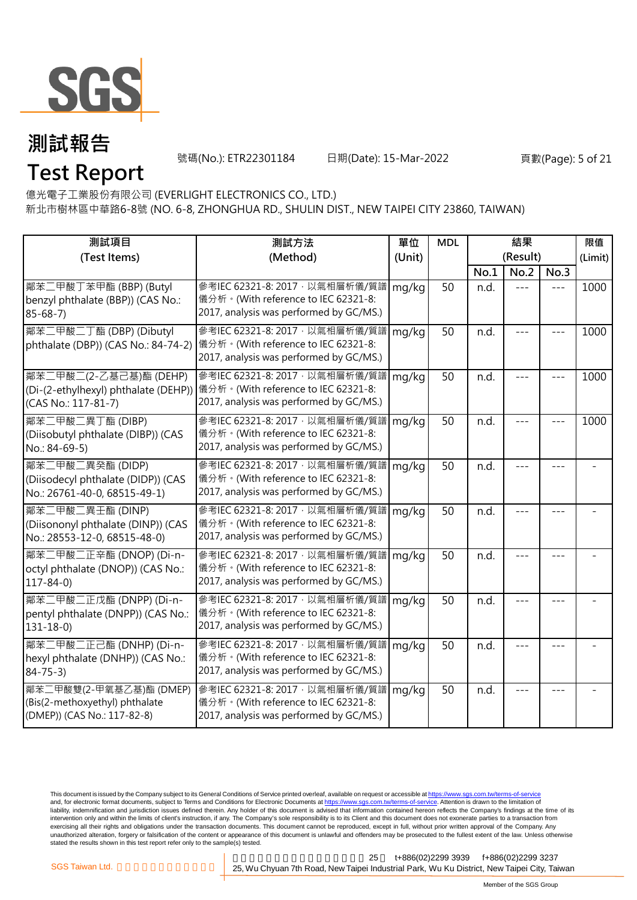

**Test Report**

號碼(No.): ETR22301184 日期(Date): 15-Mar-2022 頁數(Page): 5 of 21

億光電子工業股份有限公司 (EVERLIGHT ELECTRONICS CO., LTD.)

新北市樹林區中華路6-8號 (NO. 6-8, ZHONGHUA RD., SHULIN DIST., NEW TAIPEI CITY 23860, TAIWAN)

| 測試項目<br>(Test Items)                                                                     | 測試方法<br>(Method)                                                                                                          | 單位<br>(Unit) | <b>MDL</b> |      | 結果<br>(Result) |      | 限值<br>(Limit) |
|------------------------------------------------------------------------------------------|---------------------------------------------------------------------------------------------------------------------------|--------------|------------|------|----------------|------|---------------|
|                                                                                          |                                                                                                                           |              |            | No.1 | No.2           | No.3 |               |
| 鄰苯二甲酸丁苯甲酯 (BBP) (Butyl<br>benzyl phthalate (BBP)) (CAS No.:<br>$85 - 68 - 7$             | 參考IEC 62321-8: 2017 · 以氣相層析儀/質譜 mg/kg<br>儀分析。(With reference to IEC 62321-8:<br>2017, analysis was performed by GC/MS.)   |              | 50         | n.d. | $- - -$        |      | 1000          |
| 鄰苯二甲酸二丁酯 (DBP) (Dibutyl<br>phthalate (DBP)) (CAS No.: 84-74-2)                           | 參考IEC 62321-8: 2017, 以氣相層析儀/質譜<br>儀分析。(With reference to IEC 62321-8:<br>2017, analysis was performed by GC/MS.)          | mg/kg        | 50         | n.d. | ---            |      | 1000          |
| 鄰苯二甲酸二(2-乙基己基)酯 (DEHP)<br>(Di-(2-ethylhexyl) phthalate (DEHP))<br>(CAS No.: 117-81-7)    | 参考IEC 62321-8: 2017 · 以氣相層析儀/質譜 mg/kg<br>儀分析。(With reference to IEC 62321-8:<br>2017, analysis was performed by GC/MS.)   |              | 50         | n.d. |                |      | 1000          |
| 鄰苯二甲酸二異丁酯 (DIBP)<br>(Diisobutyl phthalate (DIBP)) (CAS<br>No.: 84-69-5)                  | 參考IEC 62321-8: 2017, 以氣相層析儀/質譜<br>儀分析。(With reference to IEC 62321-8:<br>2017, analysis was performed by GC/MS.)          | mg/kg        | 50         | n.d. |                |      | 1000          |
| 鄰苯二甲酸二異癸酯 (DIDP)<br>(Diisodecyl phthalate (DIDP)) (CAS<br>No.: 26761-40-0, 68515-49-1)   | 參考IEC 62321-8: 2017 · 以氣相層析儀/質譜   mg/kg<br>儀分析。(With reference to IEC 62321-8:<br>2017, analysis was performed by GC/MS.) |              | 50         | n.d. |                | ---  |               |
| 鄰苯二甲酸二異壬酯 (DINP)<br>(Diisononyl phthalate (DINP)) (CAS<br>No.: 28553-12-0, 68515-48-0)   | 參考IEC 62321-8: 2017, 以氣相層析儀/質譜<br>儀分析。(With reference to IEC 62321-8:<br>2017, analysis was performed by GC/MS.)          | mg/kg        | 50         | n.d. |                |      |               |
| 鄰苯二甲酸二正辛酯 (DNOP) (Di-n-<br>octyl phthalate (DNOP)) (CAS No.:<br>$117 - 84 - 0$           | 参考IEC 62321-8: 2017 · 以氣相層析儀/質譜   mg/kg<br>儀分析。(With reference to IEC 62321-8:<br>2017, analysis was performed by GC/MS.) |              | 50         | n.d. |                |      |               |
| 鄰苯二甲酸二正戊酯 (DNPP) (Di-n-<br>pentyl phthalate (DNPP)) (CAS No.:<br>$131 - 18 - 0$          | 參考IEC 62321-8: 2017, 以氣相層析儀/質譜<br>儀分析。(With reference to IEC 62321-8:<br>2017, analysis was performed by GC/MS.)          | mg/kg        | 50         | n.d. |                |      |               |
| 鄰苯二甲酸二正己酯 (DNHP) (Di-n-<br>hexyl phthalate (DNHP)) (CAS No.:<br>$84 - 75 - 3$            | 參考IEC 62321-8: 2017, 以氣相層析儀/質譜<br>儀分析。(With reference to IEC 62321-8:<br>2017, analysis was performed by GC/MS.)          | mg/kg        | 50         | n.d. |                |      |               |
| 鄰苯二甲酸雙(2-甲氧基乙基)酯 (DMEP)<br>(Bis(2-methoxyethyl) phthalate<br>(DMEP)) (CAS No.: 117-82-8) | 参考IEC 62321-8: 2017 · 以氣相層析儀/質譜   mg/kg<br>儀分析。(With reference to IEC 62321-8:<br>2017, analysis was performed by GC/MS.) |              | 50         | n.d. |                |      |               |

This document is issued by the Company subject to its General Conditions of Service printed overleaf, available on request or accessible at <u>https://www.sgs.com.tw/terms-of-service</u><br>and, for electronic format documents, su liability, indemnification and jurisdiction issues defined therein. Any holder of this document is advised that information contained hereon reflects the Company's findings at the time of its intervention only and within the limits of client's instruction, if any. The Company's sole responsibility is to its Client and this document does not exonerate parties to a transaction from exercising all their rights and obligations under the transaction documents. This document cannot be reproduced, except in full, without prior written approval of the Company. Any<br>unauthorized alteration, forgery or falsif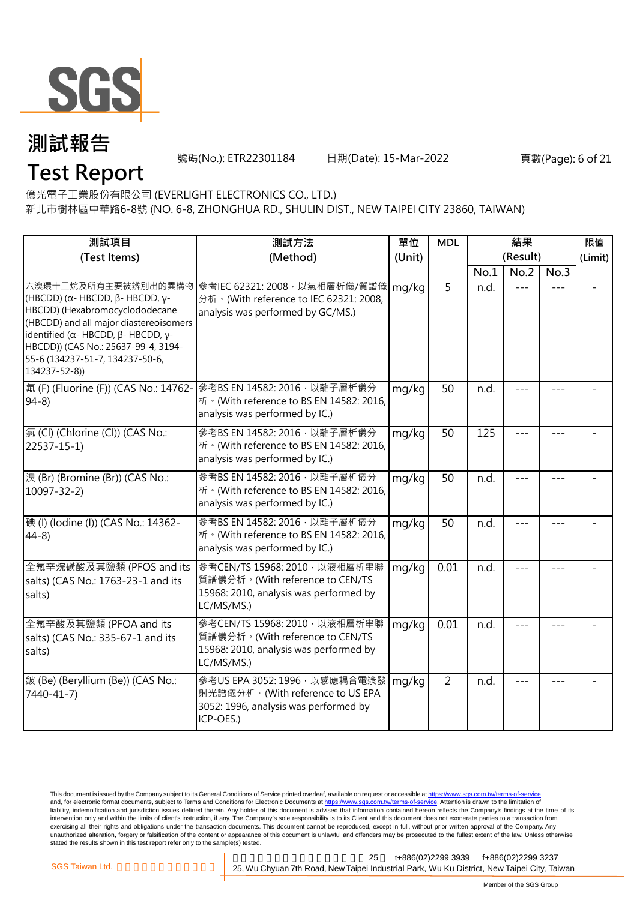

號碼(No.): ETR22301184 日期(Date): 15-Mar-2022 頁數(Page): 6 of 21

億光電子工業股份有限公司 (EVERLIGHT ELECTRONICS CO., LTD.)

新北市樹林區中華路6-8號 (NO. 6-8, ZHONGHUA RD., SHULIN DIST., NEW TAIPEI CITY 23860, TAIWAN)

| 測試項目                                                                                                                                                                                                                                                                         | 測試方法                                                                                                                      | 單位     | <b>MDL</b>      | 結果   |          |         | 限值      |
|------------------------------------------------------------------------------------------------------------------------------------------------------------------------------------------------------------------------------------------------------------------------------|---------------------------------------------------------------------------------------------------------------------------|--------|-----------------|------|----------|---------|---------|
| (Test Items)                                                                                                                                                                                                                                                                 | (Method)                                                                                                                  | (Unit) |                 |      | (Result) |         | (Limit) |
|                                                                                                                                                                                                                                                                              |                                                                                                                           |        |                 | No.1 | No.2     | No.3    |         |
| 六溴環十二烷及所有主要被辨別出的異構物<br>(HBCDD) ( $\alpha$ - HBCDD, β- HBCDD, γ-<br>HBCDD) (Hexabromocyclododecane<br>(HBCDD) and all major diastereoisomers<br>identified (α- HBCDD, β- HBCDD, γ-<br>HBCDD)) (CAS No.: 25637-99-4, 3194-<br>55-6 (134237-51-7, 134237-50-6,<br>134237-52-8)) | 參考IEC 62321: 2008, 以氣相層析儀/質譜儀<br>分析 · (With reference to IEC 62321: 2008,<br>analysis was performed by GC/MS.)            | mg/kg  | 5               | n.d. | $= -$    | $---$   |         |
| 氟 (F) (Fluorine (F)) (CAS No.: 14762-<br>$94-8$                                                                                                                                                                                                                              | 參考BS EN 14582: 2016, 以離子層析儀分<br>析 · (With reference to BS EN 14582: 2016,<br>analysis was performed by IC.)               | mg/kg  | 50              | n.d. | $ -$     | $---$   |         |
| 氯(Cl) (Chlorine (Cl)) (CAS No.:<br>$22537 - 15 - 1$                                                                                                                                                                                                                          | 參考BS EN 14582: 2016, 以離子層析儀分<br>析 · (With reference to BS EN 14582: 2016,<br>analysis was performed by IC.)               | mg/kg  | $\overline{50}$ | 125  |          | $- - -$ |         |
| 溴 (Br) (Bromine (Br)) (CAS No.:<br>$10097 - 32 - 2$                                                                                                                                                                                                                          | 參考BS EN 14582: 2016 · 以離子層析儀分<br>析 · (With reference to BS EN 14582: 2016,<br>analysis was performed by IC.)              | mg/kg  | 50              | n.d. |          |         |         |
| 碘 (I) (lodine (I)) (CAS No.: 14362-<br>$44-8$                                                                                                                                                                                                                                | 參考BS EN 14582: 2016 · 以離子層析儀分<br>析 · (With reference to BS EN 14582: 2016,<br>analysis was performed by IC.)              | mg/kg  | 50              | n.d. |          |         |         |
| 全氟辛烷磺酸及其鹽類 (PFOS and its<br>salts) (CAS No.: 1763-23-1 and its<br>salts)                                                                                                                                                                                                     | 參考CEN/TS 15968: 2010, 以液相層析串聯<br>質譜儀分析。(With reference to CEN/TS<br>15968: 2010, analysis was performed by<br>LC/MS/MS.)  | mg/kg  | 0.01            | n.d. |          | $---$   |         |
| 全氟辛酸及其鹽類 (PFOA and its<br>salts) (CAS No.: 335-67-1 and its<br>salts)                                                                                                                                                                                                        | 參考CEN/TS 15968: 2010 · 以液相層析串聯<br>質譜儀分析。(With reference to CEN/TS<br>15968: 2010, analysis was performed by<br>LC/MS/MS.) | mg/kg  | 0.01            | n.d. |          | $- - -$ |         |
| 鈹 (Be) (Beryllium (Be)) (CAS No.:<br>7440-41-7)                                                                                                                                                                                                                              | 參考US EPA 3052: 1996, 以感應耦合電漿發<br>射光譜儀分析。(With reference to US EPA<br>3052: 1996, analysis was performed by<br>ICP-OES.)   | mg/kg  | 2               | n.d. | $- - -$  |         |         |

This document is issued by the Company subject to its General Conditions of Service printed overleaf, available on request or accessible at <u>https://www.sgs.com.tw/terms-of-service</u><br>and, for electronic format documents, su liability, indemnification and jurisdiction issues defined therein. Any holder of this document is advised that information contained hereon reflects the Company's findings at the time of its intervention only and within the limits of client's instruction, if any. The Company's sole responsibility is to its Client and this document does not exonerate parties to a transaction from exercising all their rights and obligations under the transaction documents. This document cannot be reproduced, except in full, without prior written approval of the Company. Any<br>unauthorized alteration, forgery or falsif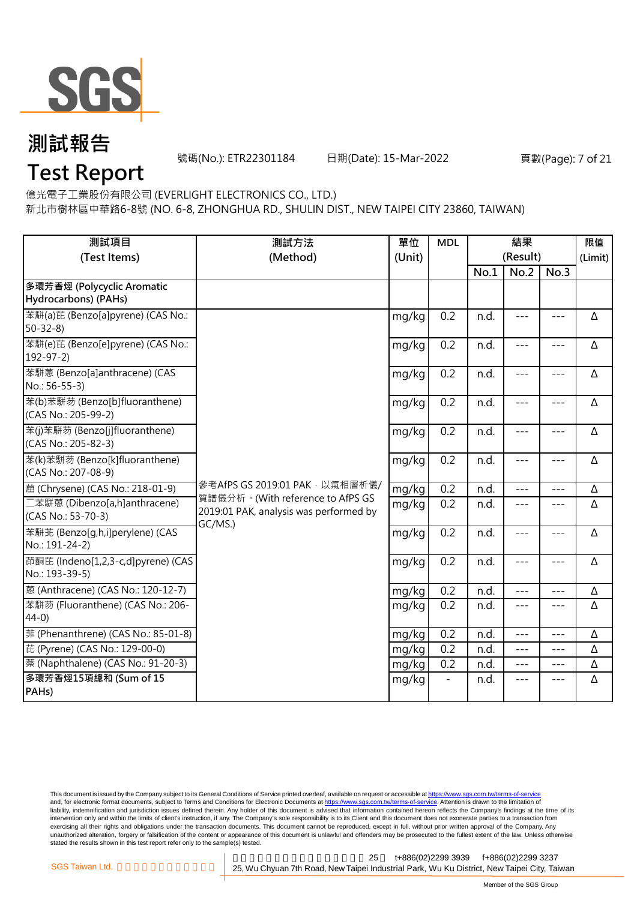

號碼(No.): ETR22301184 日期(Date): 15-Mar-2022 頁數(Page): 7 of 21

### **Test Report**

億光電子工業股份有限公司 (EVERLIGHT ELECTRONICS CO., LTD.)

新北市樹林區中華路6-8號 (NO. 6-8, ZHONGHUA RD., SHULIN DIST., NEW TAIPEI CITY 23860, TAIWAN)

| 測試項目<br>(Test Items)                                  | 測試方法<br>(Method)<br>(Unit)                                                            |       | <b>MDL</b> |      | 結果<br>(Result) |         | 限值<br>(Limit) |
|-------------------------------------------------------|---------------------------------------------------------------------------------------|-------|------------|------|----------------|---------|---------------|
|                                                       |                                                                                       |       |            | No.1 | No.2           | No.3    |               |
| 多環芳香烴 (Polycyclic Aromatic                            |                                                                                       |       |            |      |                |         |               |
| Hydrocarbons) (PAHs)                                  |                                                                                       |       |            |      |                |         |               |
| 苯駢(a)芘 (Benzo[a]pyrene) (CAS No.:<br>$50 - 32 - 8$    |                                                                                       | mg/kg | 0.2        | n.d. | $---$          | $---$   | Δ             |
| 苯駢(e)芘 (Benzo[e]pyrene) (CAS No.:<br>$192 - 97 - 2$   |                                                                                       | mg/kg | 0.2        | n.d. | $---$          | $---$   | Δ             |
| 苯駢蒽 (Benzo[a]anthracene) (CAS<br>No.: 56-55-3)        |                                                                                       | mg/kg | 0.2        | n.d. | $---$          | $---$   | Δ             |
| 苯(b)苯駢芴 (Benzo[b]fluoranthene)<br>(CAS No.: 205-99-2) |                                                                                       | mg/kg | 0.2        | n.d. | $- - -$        | $---$   | Δ             |
| 苯(j)苯駢芴 (Benzo[j]fluoranthene)<br>(CAS No.: 205-82-3) |                                                                                       | mg/kg | 0.2        | n.d. | ---            | ---     | Δ             |
| 苯(k)苯駢芴 (Benzo[k]fluoranthene)<br>(CAS No.: 207-08-9) |                                                                                       | mg/kg | 0.2        | n.d. | $- - -$        | $---$   | Δ             |
| 蔰 (Chrysene) (CAS No.: 218-01-9)                      | 參考AfPS GS 2019:01 PAK, 以氣相層析儀/                                                        | mg/kg | 0.2        | n.d. | ---            | $- - -$ | Δ             |
| 二苯駢蒽 (Dibenzo[a,h]anthracene)<br>(CAS No.: 53-70-3)   | 質譜儀分析。(With reference to AfPS GS<br>2019:01 PAK, analysis was performed by<br>GC/MS.) | mg/kg | 0.2        | n.d. | $- - -$        | $---$   | Δ             |
| 苯駢苙 (Benzo[q,h,i]perylene) (CAS<br>No.: 191-24-2)     |                                                                                       | mg/kg | 0.2        | n.d. | $- - -$        | ---     | Δ             |
| 茚酮芘 (Indeno[1,2,3-c,d]pyrene) (CAS<br>No.: 193-39-5)  |                                                                                       | mg/kg | 0.2        | n.d. | $- - -$        | $---$   | Δ             |
| 蒽 (Anthracene) (CAS No.: 120-12-7)                    |                                                                                       | mg/kg | 0.2        | n.d. | $ -$           | ---     | Δ             |
| 苯駢芴 (Fluoranthene) (CAS No.: 206-<br>$44-0)$          |                                                                                       | mg/kg | 0.2        | n.d. | $- - -$        | $---$   | Δ             |
| 菲 (Phenanthrene) (CAS No.: 85-01-8)                   |                                                                                       | mg/kg | 0.2        | n.d. | $---$          |         | Δ             |
| 芘 (Pyrene) (CAS No.: 129-00-0)                        |                                                                                       | mg/kg | 0.2        | n.d. | $- - -$        | $---$   | Δ             |
| 萘 (Naphthalene) (CAS No.: 91-20-3)                    |                                                                                       | mg/kg | 0.2        | n.d. | $---$          | $---$   | Δ             |
| 多環芳香烴15項總和 (Sum of 15<br>PAHs)                        |                                                                                       | mg/kg |            | n.d. | $---$          | $---$   | Δ             |

This document is issued by the Company subject to its General Conditions of Service printed overleaf, available on request or accessible at <u>https://www.sgs.com.tw/terms-of-service</u><br>and, for electronic format documents, su liability, indemnification and jurisdiction issues defined therein. Any holder of this document is advised that information contained hereon reflects the Company's findings at the time of its intervention only and within the limits of client's instruction, if any. The Company's sole responsibility is to its Client and this document does not exonerate parties to a transaction from exercising all their rights and obligations under the transaction documents. This document cannot be reproduced, except in full, without prior written approval of the Company. Any<br>unauthorized alteration, forgery or falsif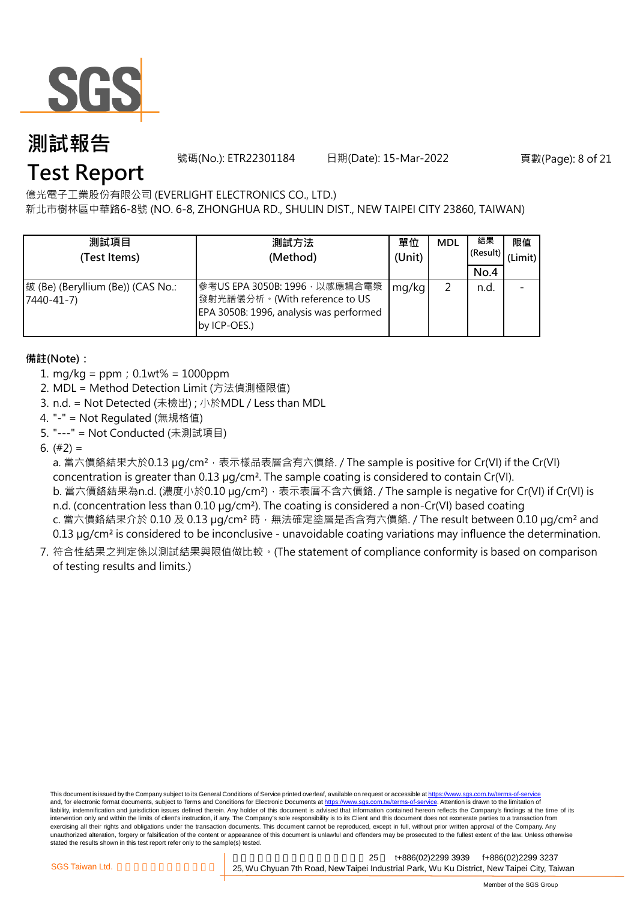

號碼(No.): ETR22301184 日期(Date): 15-Mar-2022 頁數(Page): 8 of 21

### **Test Report**

億光電子工業股份有限公司 (EVERLIGHT ELECTRONICS CO., LTD.)

新北市樹林區中華路6-8號 (NO. 6-8, ZHONGHUA RD., SHULIN DIST., NEW TAIPEI CITY 23860, TAIWAN)

| 測試項目<br>(Test Items)                            | 測試方法<br>(Method)                                                                                                           | 單位<br>(Unit) | <b>MDL</b> | 結果<br>(Result)<br>No.4 | 限值<br>(Limit) |
|-------------------------------------------------|----------------------------------------------------------------------------------------------------------------------------|--------------|------------|------------------------|---------------|
| 鈹 (Be) (Beryllium (Be)) (CAS No.:<br>7440-41-7) | 參考US EPA 3050B: 1996 · 以感應耦合電漿<br>發射光譜儀分析。(With reference to US<br>EPA 3050B: 1996, analysis was performed<br>by ICP-OES.) | mg/kg        |            | n.d.                   |               |

### **備註(Note):**

- 1. mg/kg = ppm;0.1wt% = 1000ppm
- 2. MDL = Method Detection Limit (方法偵測極限值)
- 3. n.d. = Not Detected (未檢出) ; 小於MDL / Less than MDL
- 4. "-" = Not Regulated (無規格值)
- 5. "---" = Not Conducted (未測試項目)
- 6. (#2) =

a. 當六價鉻結果大於0.13 μg/cm<sup>2,</sup>表示樣品表層含有六價鉻. / The sample is positive for Cr(VI) if the Cr(VI) concentration is greater than 0.13 µg/cm². The sample coating is considered to contain Cr(VI). b. 當六價鉻結果為n.d. (濃度小於0.10 µg/cm<sup>2</sup>), 表示表層不含六價鉻. / The sample is negative for Cr(VI) if Cr(VI) is n.d. (concentration less than 0.10 µg/cm<sup>2</sup>). The coating is considered a non-Cr(VI) based coating c. 當六價鉻結果介於 0.10 及 0.13 μg/cm<sup>2</sup> 時,無法確定塗層是否含有六價鉻. / The result between 0.10 μg/cm<sup>2</sup> and 0.13 µg/cm² is considered to be inconclusive - unavoidable coating variations may influence the determination.

7. 符合性結果之判定係以測試結果與限值做比較。(The statement of compliance conformity is based on comparison of testing results and limits.)

This document is issued by the Company subject to its General Conditions of Service printed overleaf, available on request or accessible at https://www.sgs.com.tw/terms-of-service and, for electronic format documents, subject to Terms and Conditions for Electronic Documents at https://www.sgs.com.tw/terms-of-service. Attention is drawn to the limitation of liability, indemnification and jurisdiction issues defined therein. Any holder of this document is advised that information contained hereon reflects the Company's findings at the time of its intervention only and within the limits of client's instruction, if any. The Company's sole responsibility is to its Client and this document does not exonerate parties to a transaction from exercising all their rights and obligations under the transaction documents. This document cannot be reproduced, except in full, without prior written approval of the Company. Any<br>unauthorized alteration, forgery or falsif stated the results shown in this test report refer only to the sample(s) tested.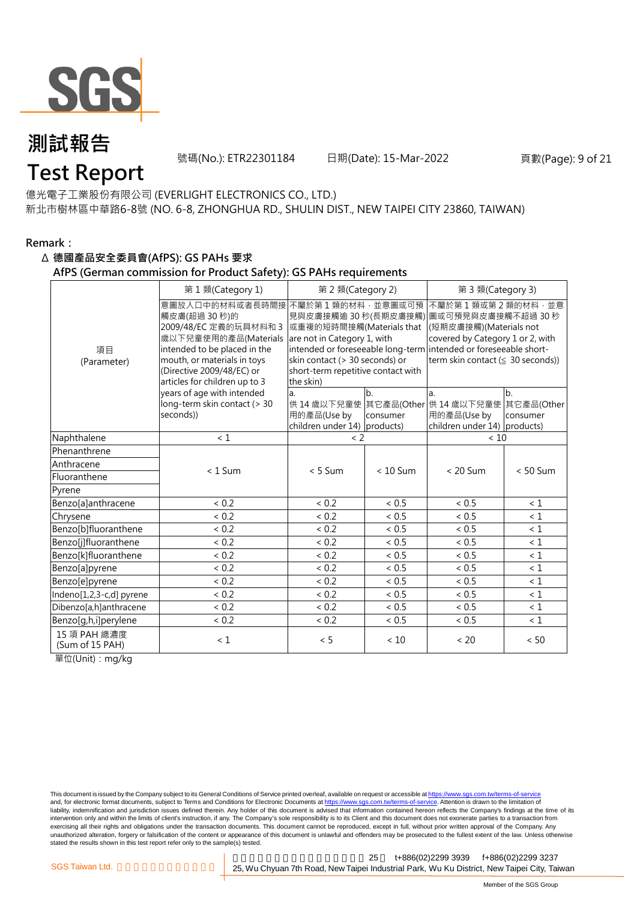

號碼(No.): ETR22301184 日期(Date): 15-Mar-2022 頁數(Page): 9 of 21

### **Test Report**

億光電子工業股份有限公司 (EVERLIGHT ELECTRONICS CO., LTD.) 新北市樹林區中華路6-8號 (NO. 6-8, ZHONGHUA RD., SHULIN DIST., NEW TAIPEI CITY 23860, TAIWAN)

#### **Remark:**

#### Δ **德國產品安全委員會(AfPS): GS PAHs 要求**

#### **AfPS (German commission for Product Safety): GS PAHs requirements**

|                                 | 第1類(Category 1)                                                                                                                                                                                               | 第 2 類(Category 2)                                                                                                                                                                        |                | 第 3 類(Category 3)                                                                                                                                                                                                    |                                          |  |
|---------------------------------|---------------------------------------------------------------------------------------------------------------------------------------------------------------------------------------------------------------|------------------------------------------------------------------------------------------------------------------------------------------------------------------------------------------|----------------|----------------------------------------------------------------------------------------------------------------------------------------------------------------------------------------------------------------------|------------------------------------------|--|
| 項目<br>(Parameter)               | 意圖放入口中的材料或者長時間接<br>觸皮膚(超過 30秒)的<br>2009/48/EC 定義的玩具材料和 3<br>歲以下兒童使用的產品(Materials<br>intended to be placed in the<br>mouth, or materials in toys<br>(Directive 2009/48/EC) or<br>articles for children up to 3 | 不屬於第1類的材料,並意圖或可預<br>見與皮膚接觸逾 30 秒(長期皮膚接觸)<br>或重複的短時間接觸(Materials that<br>are not in Category 1, with<br>skin contact (> 30 seconds) or<br>short-term repetitive contact with<br>the skin) |                | 不屬於第1類或第2類的材料,並意<br> 圖或可預見與皮膚接觸不超過 30 秒<br>(短期皮膚接觸)(Materials not<br>covered by Category 1 or 2, with<br>intended or foreseeable long-term intended or foreseeable short-<br>term skin contact ( $\leq$ 30 seconds)) |                                          |  |
|                                 | years of age with intended<br>long-term skin contact (> 30<br>seconds))                                                                                                                                       | a.<br>用的產品(Use by<br>children under $14$ ) products)                                                                                                                                     | b.<br>consumer | a.<br>供 14 歳以下兒童使 其它產品(Other 供 14 歳以下兒童使<br>用的產品(Use by<br>children under 14) products)                                                                                                                              | b <sub>1</sub><br>其它產品(Other<br>consumer |  |
| Naphthalene                     | $\leq 1$                                                                                                                                                                                                      | < 2                                                                                                                                                                                      |                | < 10                                                                                                                                                                                                                 |                                          |  |
| Phenanthrene                    |                                                                                                                                                                                                               |                                                                                                                                                                                          |                |                                                                                                                                                                                                                      |                                          |  |
| Anthracene                      | $< 1$ Sum                                                                                                                                                                                                     | $< 5$ Sum                                                                                                                                                                                | $< 10$ Sum     | $< 20$ Sum                                                                                                                                                                                                           | $< 50$ Sum                               |  |
| Fluoranthene                    |                                                                                                                                                                                                               |                                                                                                                                                                                          |                |                                                                                                                                                                                                                      |                                          |  |
| Pyrene                          |                                                                                                                                                                                                               |                                                                                                                                                                                          |                |                                                                                                                                                                                                                      |                                          |  |
| Benzo[a]anthracene              | < 0.2                                                                                                                                                                                                         | < 0.2                                                                                                                                                                                    | < 0.5          | < 0.5                                                                                                                                                                                                                | < 1                                      |  |
| Chrysene                        | < 0.2                                                                                                                                                                                                         | < 0.2                                                                                                                                                                                    | < 0.5          | < 0.5                                                                                                                                                                                                                | $\leq 1$                                 |  |
| Benzo[b]fluoranthene            | < 0.2                                                                                                                                                                                                         | < 0.2                                                                                                                                                                                    | < 0.5          | < 0.5                                                                                                                                                                                                                | $\leq 1$                                 |  |
| Benzo[j]fluoranthene            | ${}< 0.2$                                                                                                                                                                                                     | ${}< 0.2$                                                                                                                                                                                | < 0.5          | < 0.5                                                                                                                                                                                                                | $\leq 1$                                 |  |
| Benzo[k]fluoranthene            | < 0.2                                                                                                                                                                                                         | < 0.2                                                                                                                                                                                    | < 0.5          | < 0.5                                                                                                                                                                                                                | $\leq 1$                                 |  |
| Benzo[a]pyrene                  | < 0.2                                                                                                                                                                                                         | ${}< 0.2$                                                                                                                                                                                | < 0.5          | < 0.5                                                                                                                                                                                                                | $\leq 1$                                 |  |
| Benzo[e]pyrene                  | < 0.2                                                                                                                                                                                                         | < 0.2                                                                                                                                                                                    | < 0.5          | ${}< 0.5$                                                                                                                                                                                                            | < 1                                      |  |
| Indeno[1,2,3-c,d] pyrene        | < 0.2                                                                                                                                                                                                         | < 0.2                                                                                                                                                                                    | < 0.5          | ${}< 0.5$                                                                                                                                                                                                            | $\leq 1$                                 |  |
| Dibenzo[a,h]anthracene          | < 0.2                                                                                                                                                                                                         | ${}< 0.2$                                                                                                                                                                                | < 0.5          | ~< 0.5                                                                                                                                                                                                               | $\leq 1$                                 |  |
| Benzo[g,h,i]perylene            | < 0.2                                                                                                                                                                                                         | < 0.2                                                                                                                                                                                    | < 0.5          | < 0.5                                                                                                                                                                                                                | $\leq 1$                                 |  |
| 15 項 PAH 總濃度<br>(Sum of 15 PAH) | $\leq 1$                                                                                                                                                                                                      | < 5                                                                                                                                                                                      | < 10           | < 20                                                                                                                                                                                                                 | < 50                                     |  |

單位(Unit):mg/kg

This document is issued by the Company subject to its General Conditions of Service printed overleaf, available on request or accessible at <u>https://www.sgs.com.tw/terms-of-service</u><br>and, for electronic format documents, su liability, indemnification and jurisdiction issues defined therein. Any holder of this document is advised that information contained hereon reflects the Company's findings at the time of its intervention only and within the limits of client's instruction, if any. The Company's sole responsibility is to its Client and this document does not exonerate parties to a transaction from exercising all their rights and obligations under the transaction documents. This document cannot be reproduced, except in full, without prior written approval of the Company. Any<br>unauthorized alteration, forgery or falsif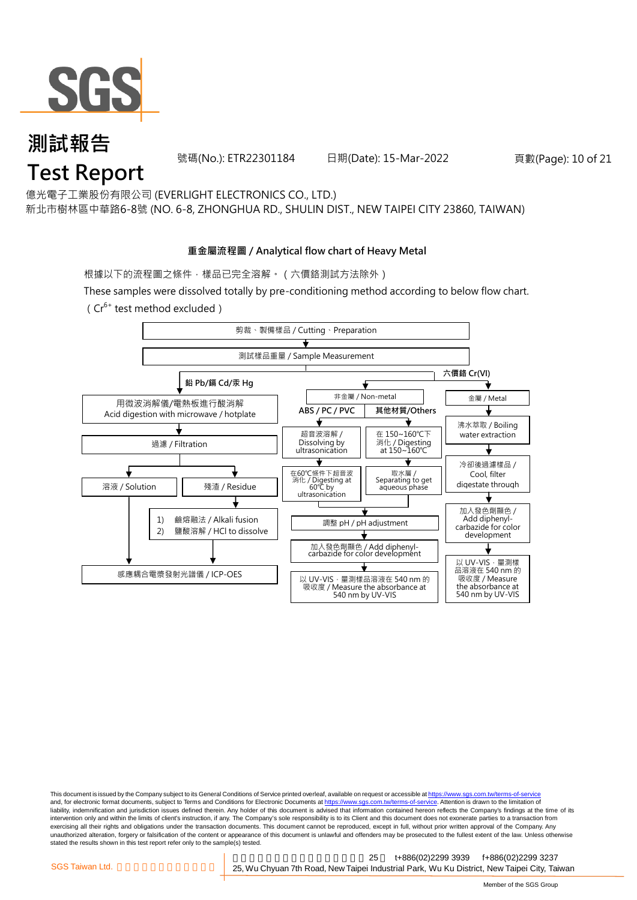

號碼(No.): ETR22301184 日期(Date): 15-Mar-2022 頁數(Page): 10 of 21

億光電子工業股份有限公司 (EVERLIGHT ELECTRONICS CO., LTD.)

新北市樹林區中華路6-8號 (NO. 6-8, ZHONGHUA RD., SHULIN DIST., NEW TAIPEI CITY 23860, TAIWAN)

#### **重金屬流程圖 / Analytical flow chart of Heavy Metal**

根據以下的流程圖之條件,樣品已完全溶解。 (六價鉻測試方法除外)

These samples were dissolved totally by pre-conditioning method according to below flow chart.

( $Cr^{6+}$  test method excluded)



This document is issued by the Company subject to its General Conditions of Service printed overleaf, available on request or accessible at https://www.sgs.com.tw/terms-of-service and, for electronic format documents, subject to Terms and Conditions for Electronic Documents at https://www.sgs.com.tw/terms-of-service. Attention is drawn to the limitation of liability, indemnification and jurisdiction issues defined therein. Any holder of this document is advised that information contained hereon reflects the Company's findings at the time of its intervention only and within the limits of client's instruction, if any. The Company's sole responsibility is to its Client and this document does not exonerate parties to a transaction from exercising all their rights and obligations under the transaction documents. This document cannot be reproduced, except in full, without prior written approval of the Company. Any<br>unauthorized alteration, forgery or falsif stated the results shown in this test report refer only to the sample(s) tested.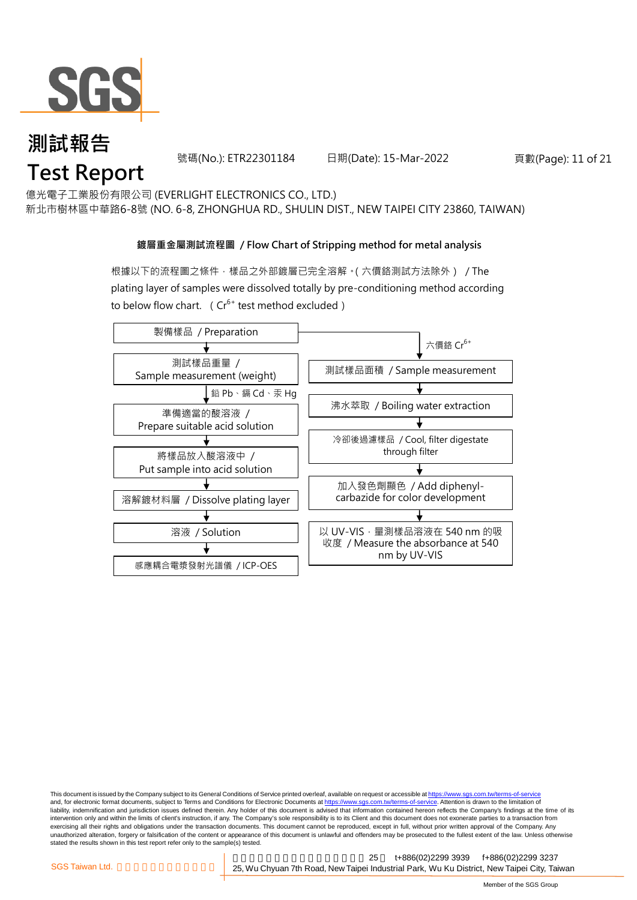

號碼(No.): ETR22301184 日期(Date): 15-Mar-2022 頁數(Page): 11 of 21

億光電子工業股份有限公司 (EVERLIGHT ELECTRONICS CO., LTD.)

新北市樹林區中華路6-8號 (NO. 6-8, ZHONGHUA RD., SHULIN DIST., NEW TAIPEI CITY 23860, TAIWAN)

#### **鍍層重金屬測試流程圖 / Flow Chart of Stripping method for metal analysis**

根據以下的流程圖之條件,樣品之外部鍍層已完全溶解。(六價鉻測試方法除外) / The plating layer of samples were dissolved totally by pre-conditioning method according to below flow chart. ( $Cr^{6+}$  test method excluded)



This document is issued by the Company subject to its General Conditions of Service printed overleaf, available on request or accessible at https://www.sgs.com.tw/terms-of-service and, for electronic format documents, subject to Terms and Conditions for Electronic Documents at https://www.sgs.com.tw/terms-of-service. Attention is drawn to the limitation of liability, indemnification and jurisdiction issues defined therein. Any holder of this document is advised that information contained hereon reflects the Company's findings at the time of its intervention only and within the limits of client's instruction, if any. The Company's sole responsibility is to its Client and this document does not exonerate parties to a transaction from exercising all their rights and obligations under the transaction documents. This document cannot be reproduced, except in full, without prior written approval of the Company. Any<br>unauthorized alteration, forgery or falsif stated the results shown in this test report refer only to the sample(s) tested.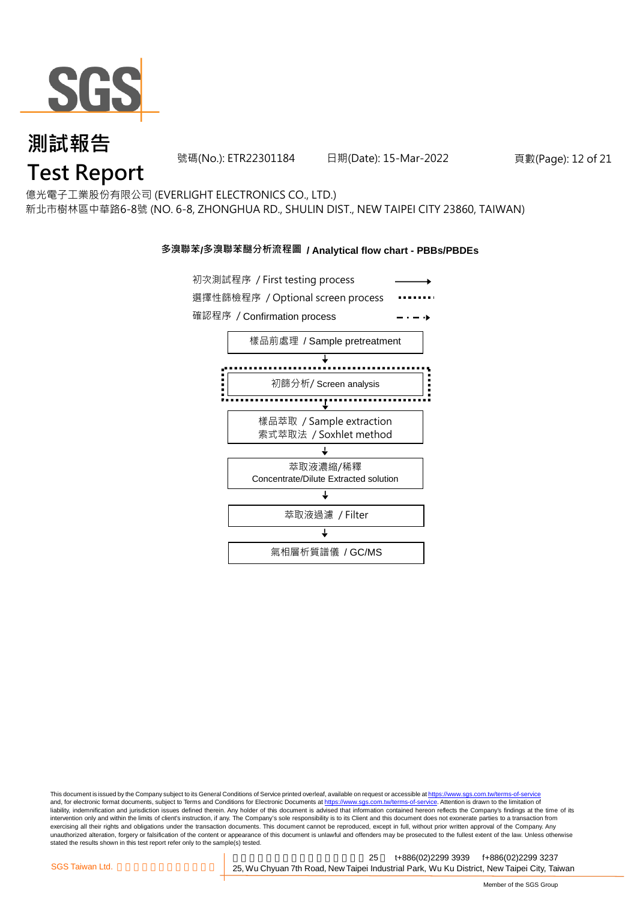

號碼(No.): ETR22301184 日期(Date): 15-Mar-2022 頁數(Page): 12 of 21

億光電子工業股份有限公司 (EVERLIGHT ELECTRONICS CO., LTD.)

新北市樹林區中華路6-8號 (NO. 6-8, ZHONGHUA RD., SHULIN DIST., NEW TAIPEI CITY 23860, TAIWAN)

#### **多溴聯苯/多溴聯苯醚分析流程圖 / Analytical flow chart - PBBs/PBDEs**



This document is issued by the Company subject to its General Conditions of Service printed overleaf, available on request or accessible at https://www.sgs.com.tw/terms-of-service and, for electronic format documents, subject to Terms and Conditions for Electronic Documents at https://www.sgs.com.tw/terms-of-service. Attention is drawn to the limitation of liability, indemnification and jurisdiction issues defined therein. Any holder of this document is advised that information contained hereon reflects the Company's findings at the time of its intervention only and within the limits of client's instruction, if any. The Company's sole responsibility is to its Client and this document does not exonerate parties to a transaction from exercising all their rights and obligations under the transaction documents. This document cannot be reproduced, except in full, without prior written approval of the Company. Any<br>unauthorized alteration, forgery or falsif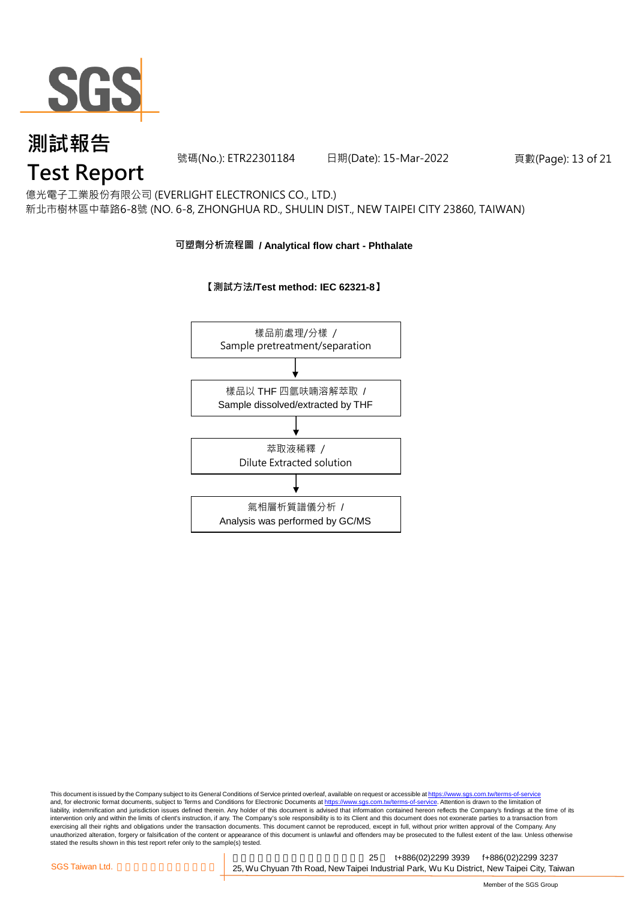

號碼(No.): ETR22301184 日期(Date): 15-Mar-2022 頁數(Page): 13 of 21

### **Test Report**

億光電子工業股份有限公司 (EVERLIGHT ELECTRONICS CO., LTD.) 新北市樹林區中華路6-8號 (NO. 6-8, ZHONGHUA RD., SHULIN DIST., NEW TAIPEI CITY 23860, TAIWAN)

#### **可塑劑分析流程圖 / Analytical flow chart - Phthalate**

**【測試方法/Test method: IEC 62321-8】**



This document is issued by the Company subject to its General Conditions of Service printed overleaf, available on request or accessible at <u>https://www.sgs.com.tw/terms-of-service</u><br>and, for electronic format documents, su liability, indemnification and jurisdiction issues defined therein. Any holder of this document is advised that information contained hereon reflects the Company's findings at the time of its intervention only and within the limits of client's instruction, if any. The Company's sole responsibility is to its Client and this document does not exonerate parties to a transaction from exercising all their rights and obligations under the transaction documents. This document cannot be reproduced, except in full, without prior written approval of the Company. Any<br>unauthorized alteration, forgery or falsif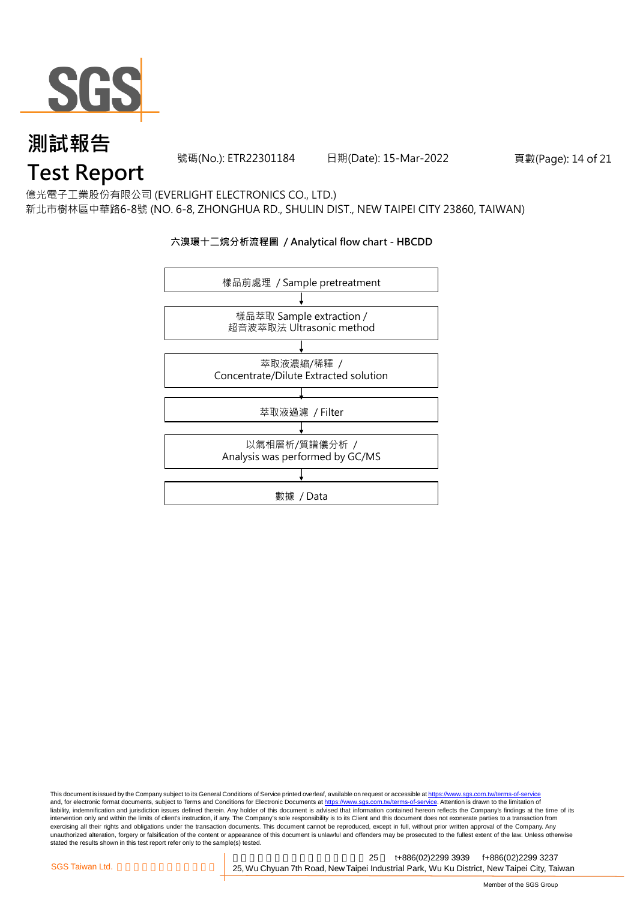

號碼(No.): ETR22301184 日期(Date): 15-Mar-2022 頁數(Page): 14 of 21

### **Test Report**

億光電子工業股份有限公司 (EVERLIGHT ELECTRONICS CO., LTD.)

新北市樹林區中華路6-8號 (NO. 6-8, ZHONGHUA RD., SHULIN DIST., NEW TAIPEI CITY 23860, TAIWAN)

#### **六溴環十二烷分析流程圖 / Analytical flow chart - HBCDD**



This document is issued by the Company subject to its General Conditions of Service printed overleaf, available on request or accessible at <u>https://www.sgs.com.tw/terms-of-service</u><br>and, for electronic format documents, su liability, indemnification and jurisdiction issues defined therein. Any holder of this document is advised that information contained hereon reflects the Company's findings at the time of its intervention only and within the limits of client's instruction, if any. The Company's sole responsibility is to its Client and this document does not exonerate parties to a transaction from exercising all their rights and obligations under the transaction documents. This document cannot be reproduced, except in full, without prior written approval of the Company. Any<br>unauthorized alteration, forgery or falsif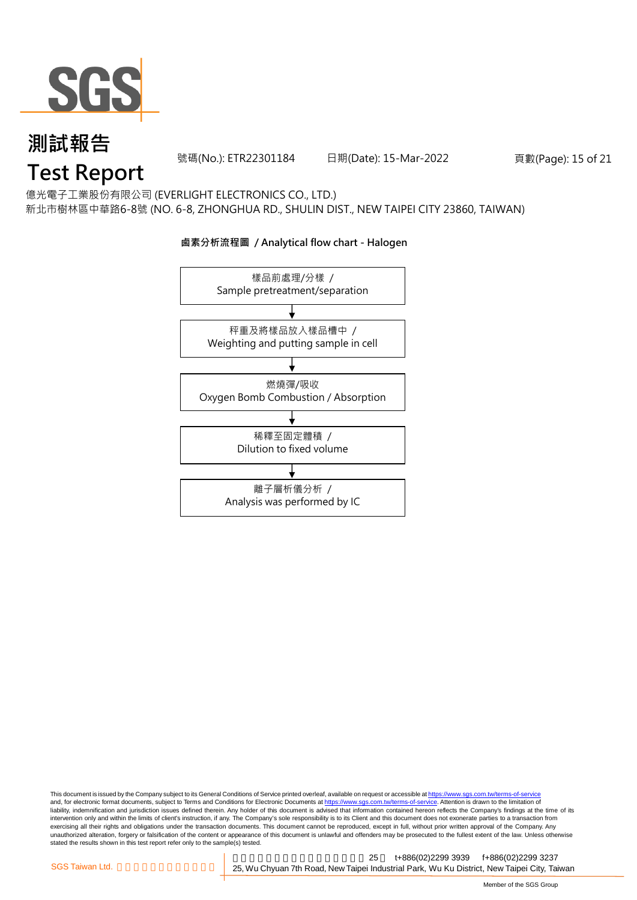

號碼(No.): ETR22301184 日期(Date): 15-Mar-2022 頁數(Page): 15 of 21

## **Test Report**

億光電子工業股份有限公司 (EVERLIGHT ELECTRONICS CO., LTD.) 新北市樹林區中華路6-8號 (NO. 6-8, ZHONGHUA RD., SHULIN DIST., NEW TAIPEI CITY 23860, TAIWAN)

### 樣品前處理/分樣 / Sample pretreatment/separation 秤重及將樣品放入樣品槽中 / Weighting and putting sample in cell 燃燒彈/吸收 Oxygen Bomb Combustion / Absorption 離子層析儀分析 / Analysis was performed by IC 稀釋至固定體積 / Dilution to fixed volume

#### **鹵素分析流程圖 / Analytical flow chart - Halogen**

This document is issued by the Company subject to its General Conditions of Service printed overleaf, available on request or accessible at <u>https://www.sgs.com.tw/terms-of-service</u><br>and, for electronic format documents, su liability, indemnification and jurisdiction issues defined therein. Any holder of this document is advised that information contained hereon reflects the Company's findings at the time of its intervention only and within the limits of client's instruction, if any. The Company's sole responsibility is to its Client and this document does not exonerate parties to a transaction from exercising all their rights and obligations under the transaction documents. This document cannot be reproduced, except in full, without prior written approval of the Company. Any<br>unauthorized alteration, forgery or falsif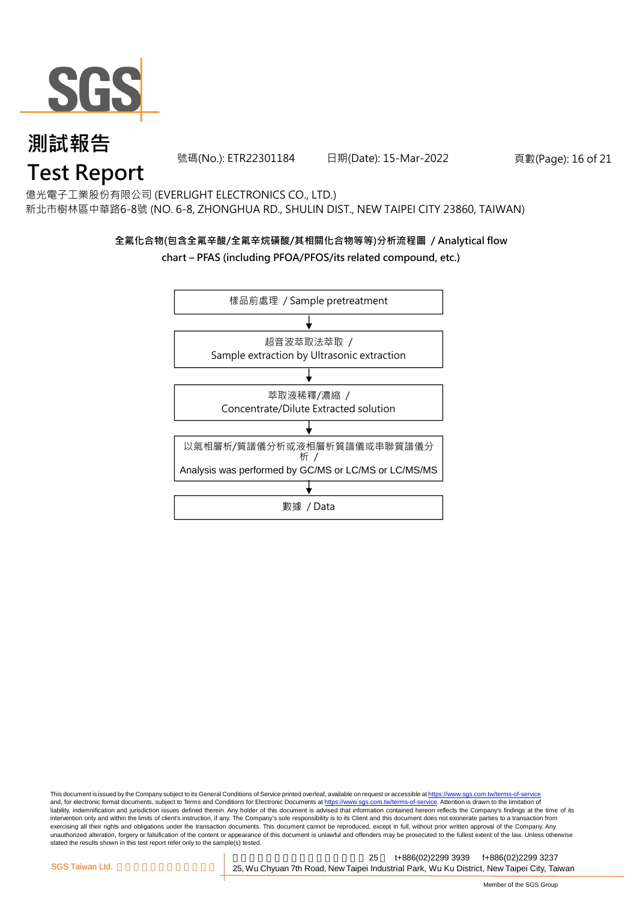

號碼(No.): ETR22301184 日期(Date): 15-Mar-2022 頁數(Page): 16 of 21

億光電子工業股份有限公司 (EVERLIGHT ELECTRONICS CO., LTD.) 新北市樹林區中華路6-8號 (NO. 6-8, ZHONGHUA RD., SHULIN DIST., NEW TAIPEI CITY 23860, TAIWAN)

### **全氟化合物(包含全氟辛酸/全氟辛烷磺酸/其相關化合物等等)分析流程圖 / Analytical flow**

#### **chart – PFAS (including PFOA/PFOS/its related compound, etc.)**



This document is issued by the Company subject to its General Conditions of Service printed overleaf, available on request or accessible at https://www.sgs.com.tw/terms-of-service and, for electronic format documents, subject to Terms and Conditions for Electronic Documents at https://www.sgs.com.tw/terms-of-service. Attention is drawn to the limitation of liability, indemnification and jurisdiction issues defined therein. Any holder of this document is advised that information contained hereon reflects the Company's findings at the time of its intervention only and within the limits of client's instruction, if any. The Company's sole responsibility is to its Client and this document does not exonerate parties to a transaction from exercising all their rights and obligations under the transaction documents. This document cannot be reproduced, except in full, without prior written approval of the Company. Any<br>unauthorized alteration, forgery or falsif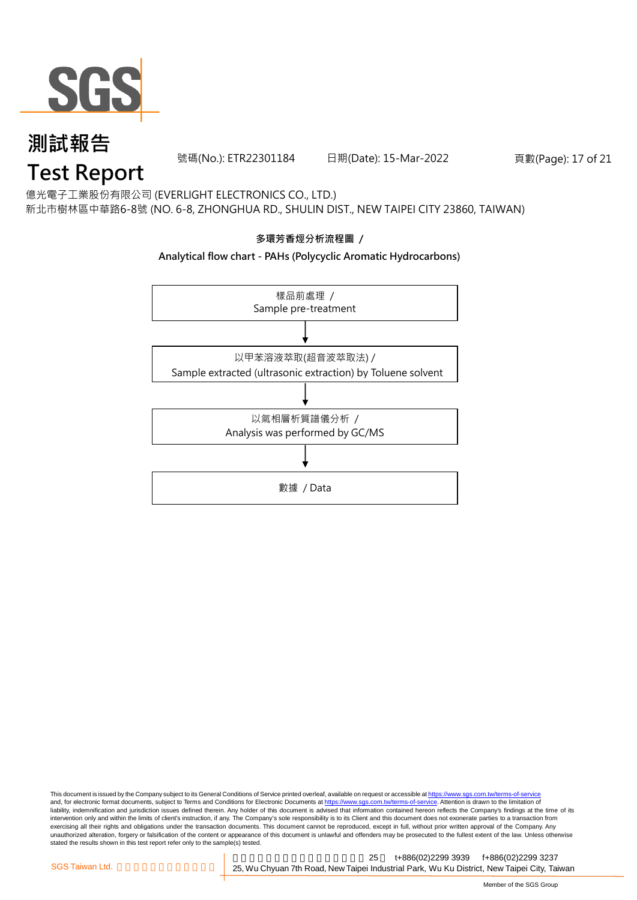

號碼(No.): ETR22301184 日期(Date): 15-Mar-2022 頁數(Page): 17 of 21

### **Test Report**

億光電子工業股份有限公司 (EVERLIGHT ELECTRONICS CO., LTD.) 新北市樹林區中華路6-8號 (NO. 6-8, ZHONGHUA RD., SHULIN DIST., NEW TAIPEI CITY 23860, TAIWAN)

### **多環芳香烴分析流程圖 /**

#### **Analytical flow chart - PAHs (Polycyclic Aromatic Hydrocarbons)**



This document is issued by the Company subject to its General Conditions of Service printed overleaf, available on request or accessible at <u>https://www.sgs.com.tw/terms-of-service</u><br>and, for electronic format documents, su liability, indemnification and jurisdiction issues defined therein. Any holder of this document is advised that information contained hereon reflects the Company's findings at the time of its intervention only and within the limits of client's instruction, if any. The Company's sole responsibility is to its Client and this document does not exonerate parties to a transaction from exercising all their rights and obligations under the transaction documents. This document cannot be reproduced, except in full, without prior written approval of the Company. Any<br>unauthorized alteration, forgery or falsif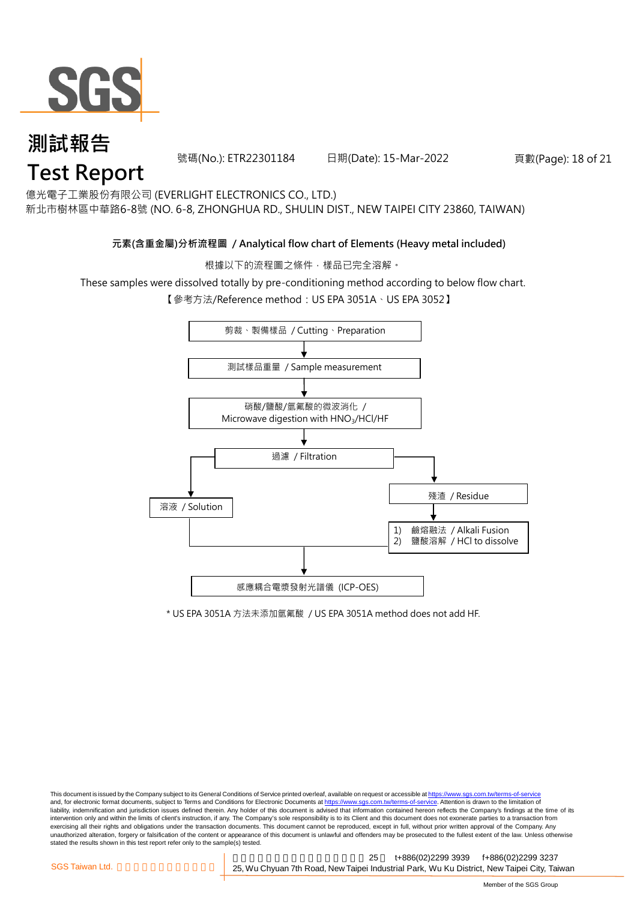

號碼(No.): ETR22301184 日期(Date): 15-Mar-2022 頁數(Page): 18 of 21

億光電子工業股份有限公司 (EVERLIGHT ELECTRONICS CO., LTD.)

新北市樹林區中華路6-8號 (NO. 6-8, ZHONGHUA RD., SHULIN DIST., NEW TAIPEI CITY 23860, TAIWAN)

#### **元素(含重金屬)分析流程圖 / Analytical flow chart of Elements (Heavy metal included)**

根據以下的流程圖之條件,樣品已完全溶解。

These samples were dissolved totally by pre-conditioning method according to below flow chart.

【參考方法/Reference method:US EPA 3051A、US EPA 3052】



\* US EPA 3051A 方法未添加氫氟酸 / US EPA 3051A method does not add HF.

This document is issued by the Company subject to its General Conditions of Service printed overleaf, available on request or accessible at https://www.sgs.com.tw/terms-of-service and, for electronic format documents, subject to Terms and Conditions for Electronic Documents at https://www.sgs.com.tw/terms-of-service. Attention is drawn to the limitation of liability, indemnification and jurisdiction issues defined therein. Any holder of this document is advised that information contained hereon reflects the Company's findings at the time of its intervention only and within the limits of client's instruction, if any. The Company's sole responsibility is to its Client and this document does not exonerate parties to a transaction from exercising all their rights and obligations under the transaction documents. This document cannot be reproduced, except in full, without prior written approval of the Company. Any<br>unauthorized alteration, forgery or falsif stated the results shown in this test report refer only to the sample(s) tested.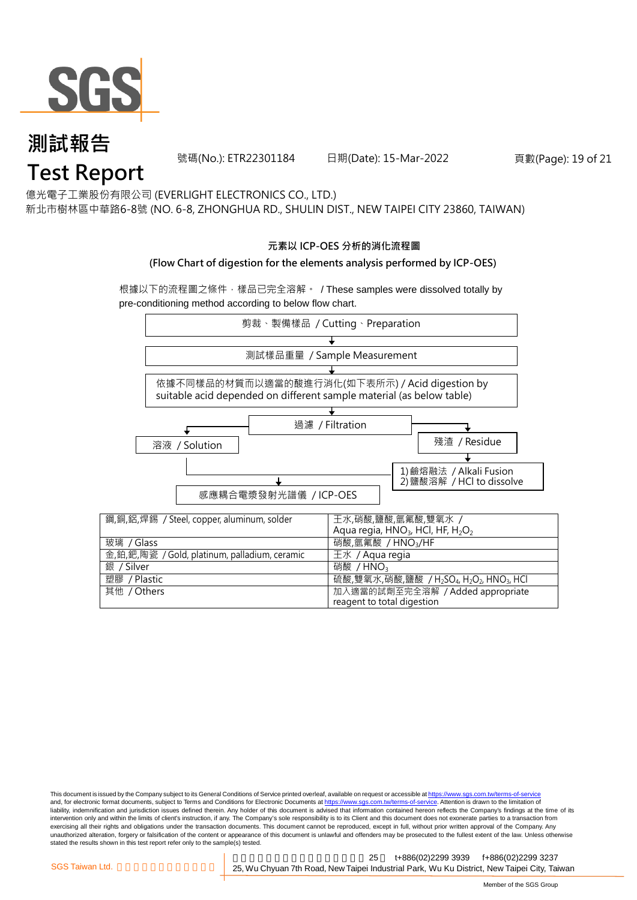

號碼(No.): ETR22301184 日期(Date): 15-Mar-2022 頁數(Page): 19 of 21

億光電子工業股份有限公司 (EVERLIGHT ELECTRONICS CO., LTD.)

新北市樹林區中華路6-8號 (NO. 6-8, ZHONGHUA RD., SHULIN DIST., NEW TAIPEI CITY 23860, TAIWAN)

#### **元素以 ICP-OES 分析的消化流程圖**

#### **(Flow Chart of digestion for the elements analysis performed by ICP-OES)**

根據以下的流程圖之條件,樣品已完全溶解。 / These samples were dissolved totally by pre-conditioning method according to below flow chart.



This document is issued by the Company subject to its General Conditions of Service printed overleaf, available on request or accessible at https://www.sgs.com.tw/terms-of-service and, for electronic format documents, subject to Terms and Conditions for Electronic Documents at https://www.sgs.com.tw/terms-of-service. Attention is drawn to the limitation of liability, indemnification and jurisdiction issues defined therein. Any holder of this document is advised that information contained hereon reflects the Company's findings at the time of its intervention only and within the limits of client's instruction, if any. The Company's sole responsibility is to its Client and this document does not exonerate parties to a transaction from exercising all their rights and obligations under the transaction documents. This document cannot be reproduced, except in full, without prior written approval of the Company. Any<br>unauthorized alteration, forgery or falsif stated the results shown in this test report refer only to the sample(s) tested.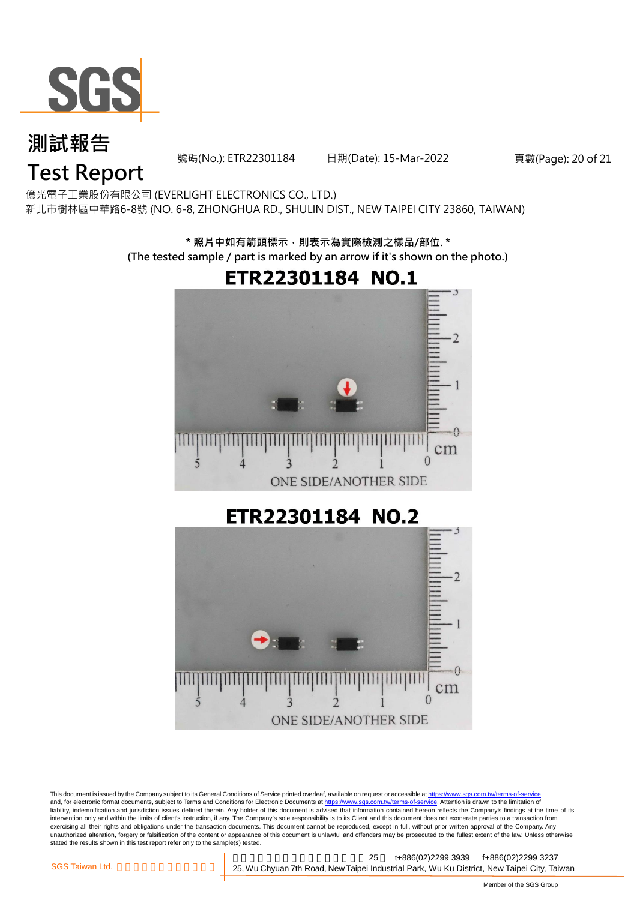

號碼(No.): ETR22301184 日期(Date): 15-Mar-2022 頁數(Page): 20 of 21

## **Test Report**

億光電子工業股份有限公司 (EVERLIGHT ELECTRONICS CO., LTD.) 新北市樹林區中華路6-8號 (NO. 6-8, ZHONGHUA RD., SHULIN DIST., NEW TAIPEI CITY 23860, TAIWAN)

> **\* 照片中如有箭頭標示,則表示為實際檢測之樣品/部位. \* (The tested sample / part is marked by an arrow if it's shown on the photo.)**ETR22301184 NO.1  $\rightarrow$  $cm$  $\Omega$  $\overline{\mathbf{S}}$  $\boldsymbol{\vartriangle}$ ONE SIDE/ANOTHER SIDE ETR22301184 NO.2 Ω cm  $\Omega$ 5  $\Delta$  $\mathbf{R}$ ONE SIDE/ANOTHER SIDE

This document is issued by the Company subject to its General Conditions of Service printed overleaf, available on request or accessible at <u>https://www.sgs.com.tw/terms-of-service</u><br>and, for electronic format documents, su liability, indemnification and jurisdiction issues defined therein. Any holder of this document is advised that information contained hereon reflects the Company's findings at the time of its intervention only and within the limits of client's instruction, if any. The Company's sole responsibility is to its Client and this document does not exonerate parties to a transaction from exercising all their rights and obligations under the transaction documents. This document cannot be reproduced, except in full, without prior written approval of the Company. Any<br>unauthorized alteration, forgery or falsif stated the results shown in this test report refer only to the sample(s) tested.